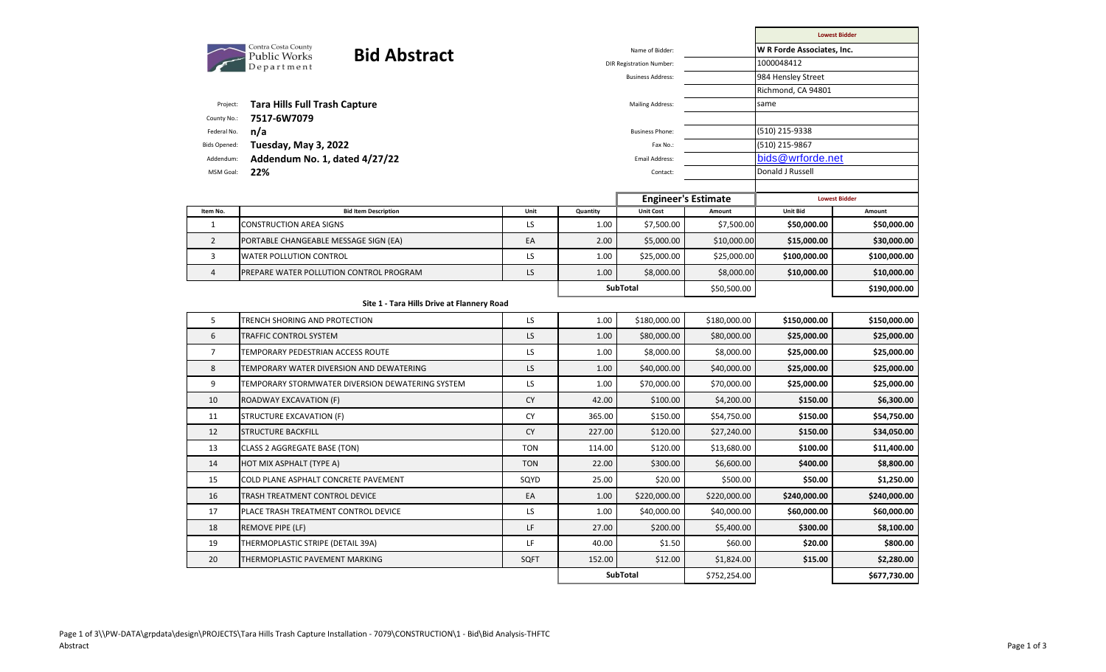|                                                   |                |                  |                                                                                                                                                               | <b>Lowest Bidder</b>                                    |                                                                               |  |
|---------------------------------------------------|----------------|------------------|---------------------------------------------------------------------------------------------------------------------------------------------------------------|---------------------------------------------------------|-------------------------------------------------------------------------------|--|
|                                                   |                | Name of Bidder:  |                                                                                                                                                               | W R Forde Associates, Inc.                              |                                                                               |  |
| <b>Bid Abstract</b><br>Public Works<br>Department |                |                  |                                                                                                                                                               | 1000048412                                              |                                                                               |  |
|                                                   |                |                  |                                                                                                                                                               | 984 Hensley Street                                      |                                                                               |  |
|                                                   |                |                  |                                                                                                                                                               |                                                         |                                                                               |  |
|                                                   |                |                  |                                                                                                                                                               |                                                         |                                                                               |  |
|                                                   |                |                  |                                                                                                                                                               |                                                         |                                                                               |  |
|                                                   |                |                  |                                                                                                                                                               |                                                         |                                                                               |  |
|                                                   | Email Address: |                  |                                                                                                                                                               | bids@wrforde.net                                        |                                                                               |  |
|                                                   |                | Contact:         |                                                                                                                                                               | Donald J Russell                                        |                                                                               |  |
|                                                   |                |                  |                                                                                                                                                               |                                                         |                                                                               |  |
|                                                   |                |                  |                                                                                                                                                               | <b>Lowest Bidder</b>                                    |                                                                               |  |
| Unit                                              | Quantity       | <b>Unit Cost</b> | Amount                                                                                                                                                        | Unit Bid                                                | Amount                                                                        |  |
|                                                   |                |                  |                                                                                                                                                               |                                                         | \$50,000.00                                                                   |  |
| EA                                                | 2.00           | \$5,000.00       |                                                                                                                                                               | \$15,000.00                                             | \$30,000.00                                                                   |  |
| <b>LS</b>                                         | 1.00           | \$25,000.00      | \$25,000.00                                                                                                                                                   | \$100,000.00                                            | \$100,000.00                                                                  |  |
| LS                                                | 1.00           | \$8,000.00       | \$8,000.00                                                                                                                                                    | \$10,000.00                                             | \$10,000.00                                                                   |  |
|                                                   |                |                  | \$50,500.00                                                                                                                                                   |                                                         | \$190,000.00                                                                  |  |
| Site 1 - Tara Hills Drive at Flannery Road        |                |                  |                                                                                                                                                               |                                                         |                                                                               |  |
| LS                                                | 1.00           | \$180,000.00     | \$180,000.00                                                                                                                                                  | \$150,000.00                                            | \$150,000.00                                                                  |  |
| LS.                                               | 1.00           | \$80,000.00      | \$80,000.00                                                                                                                                                   | \$25,000.00                                             | \$25,000.00                                                                   |  |
| LS                                                | 1.00           | \$8,000.00       | \$8,000.00                                                                                                                                                    | \$25,000.00                                             | \$25,000.00                                                                   |  |
| LS                                                | 1.00           | \$40,000.00      | \$40,000.00                                                                                                                                                   | \$25,000.00                                             | \$25,000.00                                                                   |  |
| LS                                                | 1.00           | \$70,000.00      | \$70,000.00                                                                                                                                                   | \$25,000.00                                             | \$25,000.00                                                                   |  |
| <b>CY</b>                                         | 42.00          | \$100.00         | \$4,200.00                                                                                                                                                    | \$150.00                                                | \$6,300.00                                                                    |  |
| <b>CY</b>                                         | 365.00         | \$150.00         | \$54,750.00                                                                                                                                                   | \$150.00                                                | \$54,750.00                                                                   |  |
| <b>CY</b>                                         | 227.00         | \$120.00         | \$27,240.00                                                                                                                                                   | \$150.00                                                | \$34,050.00                                                                   |  |
| <b>TON</b>                                        | 114.00         | \$120.00         | \$13,680.00                                                                                                                                                   | \$100.00                                                | \$11,400.00                                                                   |  |
| <b>TON</b>                                        | 22.00          | \$300.00         | \$6,600.00                                                                                                                                                    | \$400.00                                                | \$8,800.00                                                                    |  |
| SQYD                                              | 25.00          | \$20.00          | \$500.00                                                                                                                                                      | \$50.00                                                 | \$1,250.00                                                                    |  |
| EA                                                | 1.00           | \$220,000.00     | \$220,000.00                                                                                                                                                  | \$240,000.00                                            | \$240,000.00                                                                  |  |
| LS                                                | 1.00           | \$40,000.00      | \$40,000.00                                                                                                                                                   | \$60,000.00                                             | \$60,000.00                                                                   |  |
| LF                                                | 27.00          | \$200.00         | \$5,400.00                                                                                                                                                    | \$300.00                                                | \$8,100.00                                                                    |  |
| LF                                                | 40.00          | \$1.50           | \$60.00                                                                                                                                                       | \$20.00                                                 | \$800.00                                                                      |  |
|                                                   |                |                  |                                                                                                                                                               |                                                         |                                                                               |  |
| SQFT                                              | 152.00         | \$12.00          | \$1,824.00                                                                                                                                                    | \$15.00                                                 | \$2,280.00                                                                    |  |
|                                                   | LS             | 1.00             | <b>DIR Registration Number:</b><br><b>Business Address:</b><br><b>Mailing Address:</b><br><b>Business Phone:</b><br>Fax No.:<br>\$7,500.00<br><b>SubTotal</b> | <b>Engineer's Estimate</b><br>\$7,500.00<br>\$10,000.00 | Richmond, CA 94801<br>same<br>(510) 215-9338<br>(510) 215-9867<br>\$50,000.00 |  |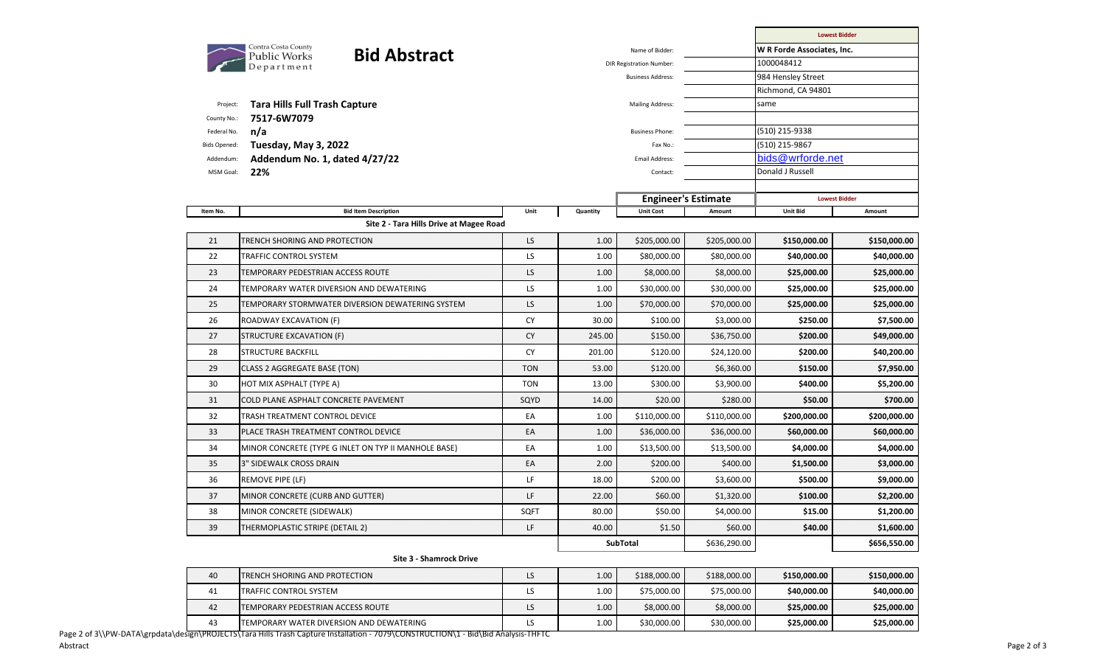|                         |                                                            |            |          |                                 |              | <b>Lowest Bidder</b>       |              |  |  |
|-------------------------|------------------------------------------------------------|------------|----------|---------------------------------|--------------|----------------------------|--------------|--|--|
|                         | Contra Costa County<br><b>Bid Abstract</b><br>Public Works |            |          | Name of Bidder:                 |              | W R Forde Associates, Inc. |              |  |  |
|                         | Department                                                 |            |          | <b>DIR Registration Number:</b> |              |                            | 1000048412   |  |  |
|                         |                                                            |            |          | <b>Business Address:</b>        |              | 984 Hensley Street         |              |  |  |
|                         |                                                            |            |          |                                 |              | Richmond, CA 94801         |              |  |  |
| Project:<br>County No.: | <b>Tara Hills Full Trash Capture</b><br>7517-6W7079        |            |          | <b>Mailing Address:</b>         |              | same                       |              |  |  |
| Federal No.             | n/a                                                        |            |          | <b>Business Phone:</b>          |              | (510) 215-9338             |              |  |  |
| <b>Bids Opened:</b>     | Tuesday, May 3, 2022                                       |            |          | Fax No.:                        |              | (510) 215-9867             |              |  |  |
| Addendum:               | Addendum No. 1, dated 4/27/22                              |            |          | Email Address:                  |              | bids@wrforde.net           |              |  |  |
| MSM Goal:               | 22%                                                        |            |          | Contact:                        |              | Donald J Russell           |              |  |  |
|                         |                                                            |            |          |                                 |              |                            |              |  |  |
|                         |                                                            |            |          | <b>Engineer's Estimate</b>      |              | <b>Lowest Bidder</b>       |              |  |  |
| Item No.                | <b>Bid Item Description</b>                                | Unit       | Quantity | <b>Unit Cost</b>                | Amount       | <b>Unit Bid</b>            | Amount       |  |  |
|                         | Site 2 - Tara Hills Drive at Magee Road                    |            |          |                                 |              |                            |              |  |  |
| 21                      | TRENCH SHORING AND PROTECTION                              | LS         | 1.00     | \$205,000.00                    | \$205,000.00 | \$150,000.00               | \$150,000.00 |  |  |
| 22                      | TRAFFIC CONTROL SYSTEM                                     | LS         | 1.00     | \$80,000.00                     | \$80,000.00  | \$40,000.00                | \$40,000.00  |  |  |
| 23                      | TEMPORARY PEDESTRIAN ACCESS ROUTE                          | LS         | 1.00     | \$8,000.00                      | \$8,000.00   | \$25,000.00                | \$25,000.00  |  |  |
| 24                      | TEMPORARY WATER DIVERSION AND DEWATERING                   | LS         | 1.00     | \$30,000.00                     | \$30,000.00  | \$25,000.00                | \$25,000.00  |  |  |
| 25                      | TEMPORARY STORMWATER DIVERSION DEWATERING SYSTEM           | LS         | 1.00     | \$70,000.00                     | \$70,000.00  | \$25,000.00                | \$25,000.00  |  |  |
| 26                      | ROADWAY EXCAVATION (F)                                     | <b>CY</b>  | 30.00    | \$100.00                        | \$3,000.00   | \$250.00                   | \$7,500.00   |  |  |
| 27                      | <b>STRUCTURE EXCAVATION (F)</b>                            | <b>CY</b>  | 245.00   | \$150.00                        | \$36,750.00  | \$200.00                   | \$49,000.00  |  |  |
| 28                      | <b>STRUCTURE BACKFILL</b>                                  | <b>CY</b>  | 201.00   | \$120.00                        | \$24,120.00  | \$200.00                   | \$40,200.00  |  |  |
| 29                      | CLASS 2 AGGREGATE BASE (TON)                               | <b>TON</b> | 53.00    | \$120.00                        | \$6,360.00   | \$150.00                   | \$7,950.00   |  |  |
| 30                      | HOT MIX ASPHALT (TYPE A)                                   | <b>TON</b> | 13.00    | \$300.00                        | \$3,900.00   | \$400.00                   | \$5,200.00   |  |  |
| 31                      | COLD PLANE ASPHALT CONCRETE PAVEMENT                       | SQYD       | 14.00    | \$20.00                         | \$280.00     | \$50.00                    | \$700.00     |  |  |
| 32                      | TRASH TREATMENT CONTROL DEVICE                             | EA         | 1.00     | \$110,000.00                    | \$110,000.00 | \$200,000.00               | \$200,000.00 |  |  |
| 33                      | PLACE TRASH TREATMENT CONTROL DEVICE                       | EA         | 1.00     | \$36,000.00                     | \$36,000.00  | \$60,000.00                | \$60,000.00  |  |  |
| 34                      | MINOR CONCRETE (TYPE G INLET ON TYP II MANHOLE BASE)       | EA         | 1.00     | \$13,500.00                     | \$13,500.00  | \$4,000.00                 | \$4,000.00   |  |  |
| 35                      | 3" SIDEWALK CROSS DRAIN                                    | EA         | 2.00     | \$200.00                        | \$400.00     | \$1,500.00                 | \$3,000.00   |  |  |
| 36                      | REMOVE PIPE (LF)                                           | LF         | 18.00    | \$200.00                        | \$3,600.00   | \$500.00                   | \$9,000.00   |  |  |
| 37                      | MINOR CONCRETE (CURB AND GUTTER)                           | LF         | 22.00    | \$60.00                         | \$1,320.00   | \$100.00                   | \$2,200.00   |  |  |
| 38                      | <b>MINOR CONCRETE (SIDEWALK)</b>                           | SQFT       | 80.00    | \$50.00                         | \$4,000.00   | \$15.00                    | \$1,200.00   |  |  |
| 39                      | THERMOPLASTIC STRIPE (DETAIL 2)                            | LF         | 40.00    | \$1.50                          | \$60.00      | \$40.00                    | \$1,600.00   |  |  |
|                         |                                                            |            |          | SubTotal                        | \$636,290.00 |                            | \$656,550.00 |  |  |
|                         | <b>Site 3 - Shamrock Drive</b>                             |            |          |                                 |              |                            |              |  |  |
| 40                      | TRENCH SHORING AND PROTECTION                              | LS         | 1.00     | \$188,000.00                    | \$188,000.00 | \$150,000.00               | \$150,000.00 |  |  |
| 41                      | TRAFFIC CONTROL SYSTEM                                     | LS         | 1.00     | \$75,000.00                     | \$75,000.00  | \$40,000.00                | \$40,000.00  |  |  |
| 42                      | TEMPORARY PEDESTRIAN ACCESS ROUTE                          | LS         | 1.00     | \$8,000.00                      | \$8,000.00   | \$25,000.00                | \$25,000.00  |  |  |

43 TEMPORARY WATER DIVERSION AND DEWATERING LS 1.00 \$30,000.00 \$30,000.00 **\$25,000.00 \$25,000.00**

Page 2 of 3\\PW-DATA\grpdata\design\PROJECTS\Tara Hills Trash Capture Installation - 7079\CONSTRUCTION\1 - Bid\Bid Analysis-THFTC